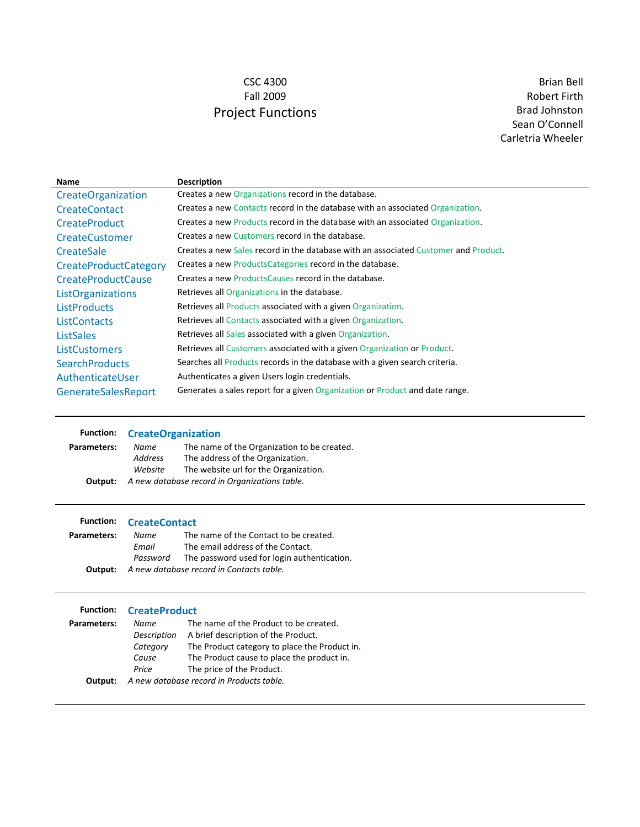## CSC 4300 Fall 2009 Project Functions

Brian Bell Robert Firth Brad Johnston Sean O'Connell Carletria Wheeler

| <b>Name</b>                  | <b>Description</b>                                                                  |
|------------------------------|-------------------------------------------------------------------------------------|
| CreateOrganization           | Creates a new Organizations record in the database.                                 |
| <b>CreateContact</b>         | Creates a new Contacts record in the database with an associated Organization.      |
| <b>CreateProduct</b>         | Creates a new Products record in the database with an associated Organization.      |
| <b>CreateCustomer</b>        | Creates a new Customers record in the database.                                     |
| CreateSale                   | Creates a new Sales record in the database with an associated Customer and Product. |
| <b>CreateProductCategory</b> | Creates a new ProductsCategories record in the database.                            |
| <b>CreateProductCause</b>    | Creates a new ProductsCauses record in the database.                                |
| ListOrganizations            | Retrieves all Organizations in the database.                                        |
| <b>ListProducts</b>          | Retrieves all Products associated with a given Organization.                        |
| <b>ListContacts</b>          | Retrieves all Contacts associated with a given Organization.                        |
| <b>ListSales</b>             | Retrieves all Sales associated with a given Organization.                           |
| <b>ListCustomers</b>         | Retrieves all Customers associated with a given Organization or Product.            |
| <b>SearchProducts</b>        | Searches all Products records in the database with a given search criteria.         |
| AuthenticateUser             | Authenticates a given Users login credentials.                                      |
| <b>GenerateSalesReport</b>   | Generates a sales report for a given Organization or Product and date range.        |
|                              |                                                                                     |
|                              |                                                                                     |

| <b>Function:</b> | <b>CreateOrganization</b>                     |                                             |
|------------------|-----------------------------------------------|---------------------------------------------|
| Parameters:      | Name                                          | The name of the Organization to be created. |
|                  | Address                                       | The address of the Organization.            |
|                  | Website                                       | The website url for the Organization.       |
| Output:          | A new database record in Organizations table. |                                             |

|             | <b>Function: CreateContact</b> |                                             |
|-------------|--------------------------------|---------------------------------------------|
| Parameters: | Name                           | The name of the Contact to be created.      |
|             | Email                          | The email address of the Contact.           |
|             | Password                       | The password used for login authentication. |
| Output:     |                                | A new database record in Contacts table.    |

| <b>Function:</b> | <b>CreateProduct</b> |                                               |
|------------------|----------------------|-----------------------------------------------|
| Parameters:      | Name                 | The name of the Product to be created.        |
|                  | Description          | A brief description of the Product.           |
|                  | Category             | The Product category to place the Product in. |
|                  | Cause                | The Product cause to place the product in.    |
|                  | Price                | The price of the Product.                     |
| Output:          |                      | A new database record in Products table.      |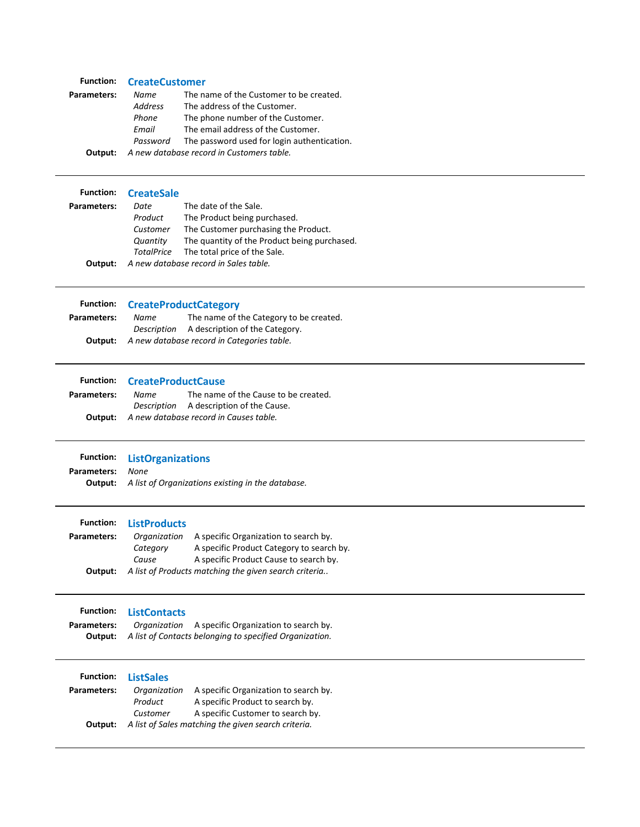| <b>Function:</b><br>Parameters: | <b>CreateCustomer</b><br>The name of the Customer to be created.<br>Name                                    |  |  |
|---------------------------------|-------------------------------------------------------------------------------------------------------------|--|--|
|                                 | <b>Address</b><br>The address of the Customer.                                                              |  |  |
|                                 | Phone<br>The phone number of the Customer.                                                                  |  |  |
|                                 | The email address of the Customer.<br>Email                                                                 |  |  |
|                                 | The password used for login authentication.<br>Password                                                     |  |  |
| Output:                         | A new database record in Customers table.                                                                   |  |  |
| <b>Function:</b>                | <b>CreateSale</b>                                                                                           |  |  |
| Parameters:                     | Date<br>The date of the Sale.                                                                               |  |  |
|                                 | Product<br>The Product being purchased.                                                                     |  |  |
|                                 | The Customer purchasing the Product.<br>Customer                                                            |  |  |
|                                 | The quantity of the Product being purchased.<br>Quantity                                                    |  |  |
|                                 | The total price of the Sale.<br><b>TotalPrice</b>                                                           |  |  |
| Output:                         | A new database record in Sales table.                                                                       |  |  |
| <b>Function:</b>                | <b>CreateProductCategory</b>                                                                                |  |  |
| Parameters:                     | The name of the Category to be created.<br>Name                                                             |  |  |
|                                 | A description of the Category.<br>Description                                                               |  |  |
| Output:                         | A new database record in Categories table.                                                                  |  |  |
| <b>Function:</b>                | <b>CreateProductCause</b>                                                                                   |  |  |
| Parameters:                     | Name<br>The name of the Cause to be created.                                                                |  |  |
|                                 | Description<br>A description of the Cause.                                                                  |  |  |
| Output:                         | A new database record in Causes table.                                                                      |  |  |
| <b>Function:</b>                | <b>ListOrganizations</b>                                                                                    |  |  |
| Parameters:                     | None                                                                                                        |  |  |
| Output:                         | A list of Organizations existing in the database.                                                           |  |  |
| <b>Function:</b>                |                                                                                                             |  |  |
|                                 | <b>ListProducts</b>                                                                                         |  |  |
| Parameters:                     | Organization A specific Organization to search by.<br>A specific Product Category to search by.<br>Category |  |  |
|                                 | Cause<br>A specific Product Cause to search by.                                                             |  |  |
| Output:                         | A list of Products matching the given search criteria                                                       |  |  |
| <b>Function:</b>                | <b>ListContacts</b>                                                                                         |  |  |
| Parameters:                     | Organization<br>A specific Organization to search by.                                                       |  |  |
| Output:                         | A list of Contacts belonging to specified Organization.                                                     |  |  |
| <b>Function:</b>                | <b>ListSales</b>                                                                                            |  |  |
| Parameters:                     | A specific Organization to search by.<br>Organization                                                       |  |  |
|                                 | Product<br>A specific Product to search by.                                                                 |  |  |
|                                 | Customer<br>A specific Customer to search by.                                                               |  |  |
| Output:                         | A list of Sales matching the given search criteria.                                                         |  |  |
|                                 |                                                                                                             |  |  |